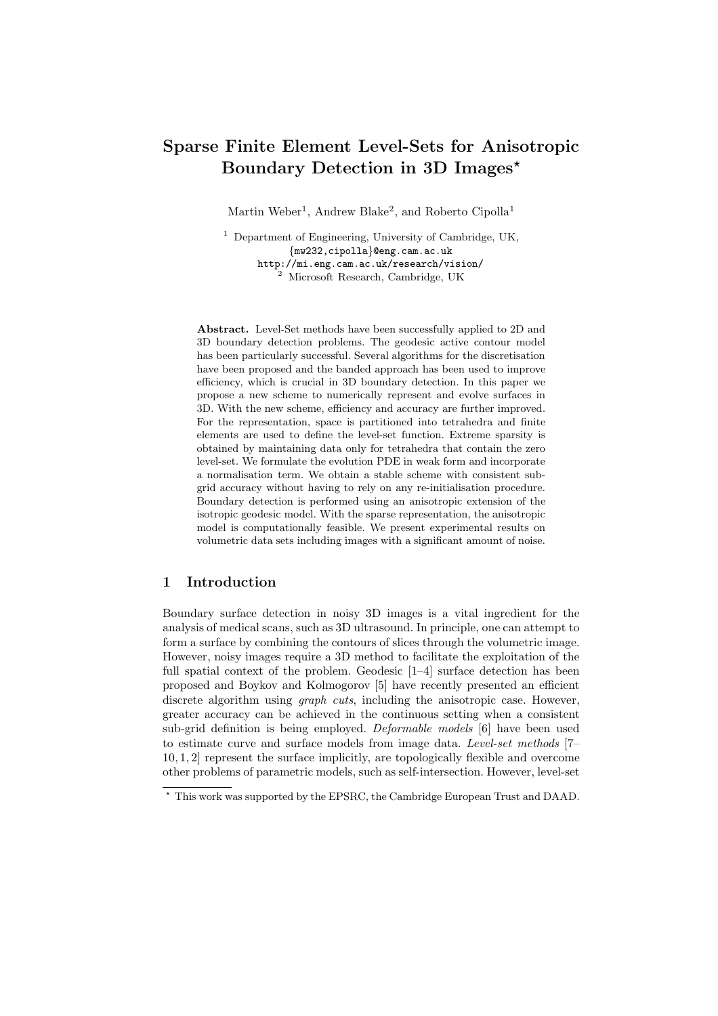# Sparse Finite Element Level-Sets for Anisotropic Boundary Detection in 3D Images?

Martin Weber<sup>1</sup>, Andrew Blake<sup>2</sup>, and Roberto Cipolla<sup>1</sup>

 $<sup>1</sup>$  Department of Engineering, University of Cambridge, UK,</sup> {mw232,cipolla}@eng.cam.ac.uk http://mi.eng.cam.ac.uk/research/vision/ <sup>2</sup> Microsoft Research, Cambridge, UK

Abstract. Level-Set methods have been successfully applied to 2D and 3D boundary detection problems. The geodesic active contour model has been particularly successful. Several algorithms for the discretisation have been proposed and the banded approach has been used to improve efficiency, which is crucial in 3D boundary detection. In this paper we propose a new scheme to numerically represent and evolve surfaces in 3D. With the new scheme, efficiency and accuracy are further improved. For the representation, space is partitioned into tetrahedra and finite elements are used to define the level-set function. Extreme sparsity is obtained by maintaining data only for tetrahedra that contain the zero level-set. We formulate the evolution PDE in weak form and incorporate a normalisation term. We obtain a stable scheme with consistent subgrid accuracy without having to rely on any re-initialisation procedure. Boundary detection is performed using an anisotropic extension of the isotropic geodesic model. With the sparse representation, the anisotropic model is computationally feasible. We present experimental results on volumetric data sets including images with a significant amount of noise.

#### 1 Introduction

Boundary surface detection in noisy 3D images is a vital ingredient for the analysis of medical scans, such as 3D ultrasound. In principle, one can attempt to form a surface by combining the contours of slices through the volumetric image. However, noisy images require a 3D method to facilitate the exploitation of the full spatial context of the problem. Geodesic [1–4] surface detection has been proposed and Boykov and Kolmogorov [5] have recently presented an efficient discrete algorithm using *graph cuts*, including the anisotropic case. However, greater accuracy can be achieved in the continuous setting when a consistent sub-grid definition is being employed. Deformable models [6] have been used to estimate curve and surface models from image data. Level-set methods [7– 10, 1, 2] represent the surface implicitly, are topologically flexible and overcome other problems of parametric models, such as self-intersection. However, level-set

<sup>?</sup> This work was supported by the EPSRC, the Cambridge European Trust and DAAD.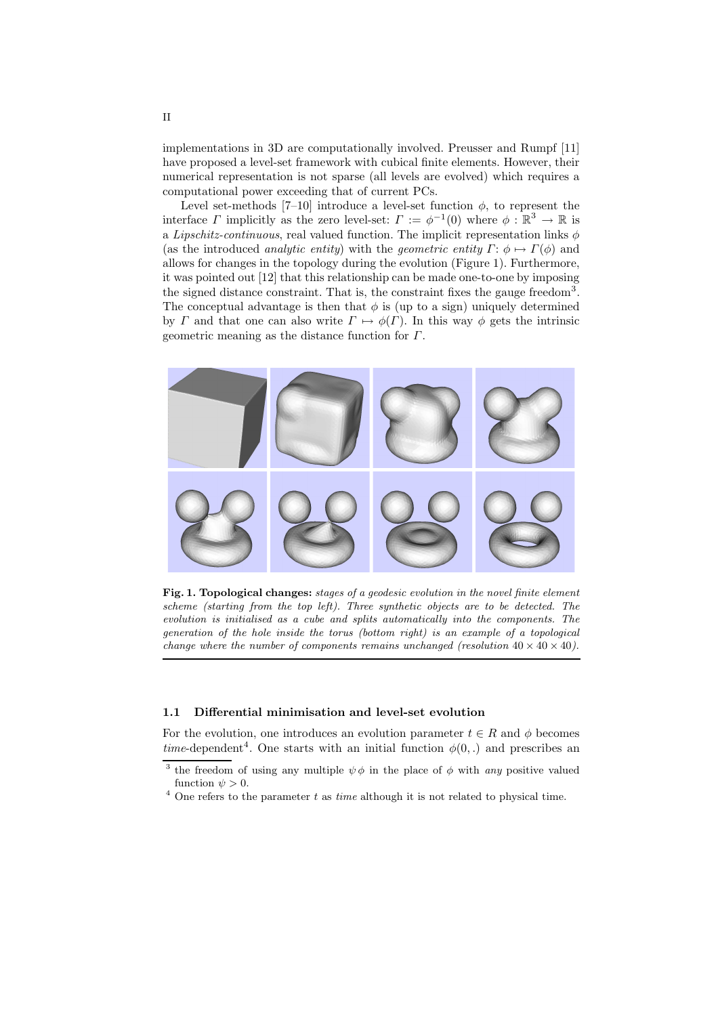implementations in 3D are computationally involved. Preusser and Rumpf [11] have proposed a level-set framework with cubical finite elements. However, their numerical representation is not sparse (all levels are evolved) which requires a computational power exceeding that of current PCs.

Level set-methods [7–10] introduce a level-set function  $\phi$ , to represent the interface  $\Gamma$  implicitly as the zero level-set:  $\Gamma := \phi^{-1}(0)$  where  $\phi : \mathbb{R}^3 \to \mathbb{R}$  is a Lipschitz-continuous, real valued function. The implicit representation links  $\phi$ (as the introduced *analytic entity*) with the *geometric entity*  $\Gamma: \phi \mapsto \Gamma(\phi)$  and allows for changes in the topology during the evolution (Figure 1). Furthermore, it was pointed out [12] that this relationship can be made one-to-one by imposing the signed distance constraint. That is, the constraint fixes the gauge freedom<sup>3</sup>. The conceptual advantage is then that  $\phi$  is (up to a sign) uniquely determined by Γ and that one can also write  $\Gamma \mapsto \phi(\Gamma)$ . In this way  $\phi$  gets the intrinsic geometric meaning as the distance function for  $\Gamma$ .



Fig. 1. Topological changes: stages of a geodesic evolution in the novel finite element scheme (starting from the top left). Three synthetic objects are to be detected. The evolution is initialised as a cube and splits automatically into the components. The generation of the hole inside the torus (bottom right) is an example of a topological change where the number of components remains unchanged (resolution  $40 \times 40 \times 40$ ).

#### 1.1 Differential minimisation and level-set evolution

For the evolution, one introduces an evolution parameter  $t \in R$  and  $\phi$  becomes time-dependent<sup>4</sup>. One starts with an initial function  $\phi(0,.)$  and prescribes an

<sup>&</sup>lt;sup>3</sup> the freedom of using any multiple  $\psi \phi$  in the place of  $\phi$  with any positive valued function  $\psi > 0$ .

 $^4$  One refers to the parameter  $t$  as  $\it time$  although it is not related to physical time.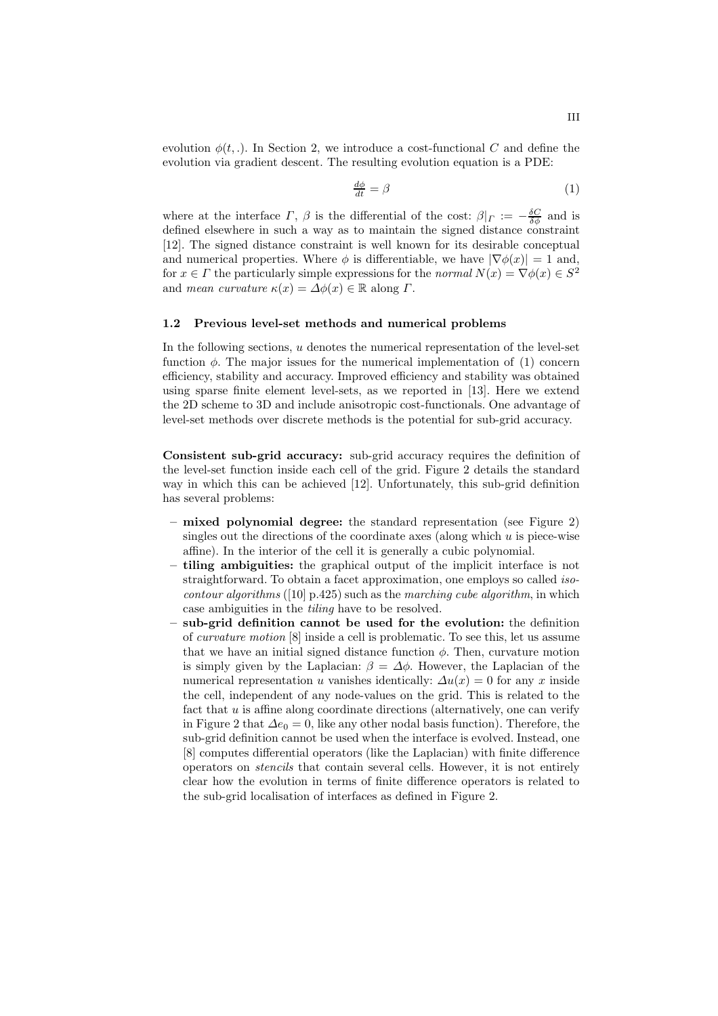evolution  $\phi(t,.)$ . In Section 2, we introduce a cost-functional C and define the evolution via gradient descent. The resulting evolution equation is a PDE:

$$
\frac{d\phi}{dt} = \beta \tag{1}
$$

where at the interface  $\Gamma$ ,  $\beta$  is the differential of the cost:  $\beta|_{\Gamma} := -\frac{\delta C}{\delta \phi}$  and is defined elsewhere in such a way as to maintain the signed distance constraint [12]. The signed distance constraint is well known for its desirable conceptual and numerical properties. Where  $\phi$  is differentiable, we have  $|\nabla \phi(x)| = 1$  and, for  $x \in \Gamma$  the particularly simple expressions for the *normal*  $N(x) = \nabla \phi(x) \in S^2$ and mean curvature  $\kappa(x) = \Delta \phi(x) \in \mathbb{R}$  along  $\Gamma$ .

#### 1.2 Previous level-set methods and numerical problems

In the following sections,  $u$  denotes the numerical representation of the level-set function  $\phi$ . The major issues for the numerical implementation of (1) concern efficiency, stability and accuracy. Improved efficiency and stability was obtained using sparse finite element level-sets, as we reported in [13]. Here we extend the 2D scheme to 3D and include anisotropic cost-functionals. One advantage of level-set methods over discrete methods is the potential for sub-grid accuracy.

Consistent sub-grid accuracy: sub-grid accuracy requires the definition of the level-set function inside each cell of the grid. Figure 2 details the standard way in which this can be achieved [12]. Unfortunately, this sub-grid definition has several problems:

- mixed polynomial degree: the standard representation (see Figure 2) singles out the directions of the coordinate axes (along which  $u$  is piece-wise affine). In the interior of the cell it is generally a cubic polynomial.
- tiling ambiguities: the graphical output of the implicit interface is not straightforward. To obtain a facet approximation, one employs so called iso*contour algorithms* ([10] p.425) such as the *marching cube algorithm*, in which case ambiguities in the tiling have to be resolved.
- sub-grid definition cannot be used for the evolution: the definition of curvature motion [8] inside a cell is problematic. To see this, let us assume that we have an initial signed distance function  $\phi$ . Then, curvature motion is simply given by the Laplacian:  $\beta = \Delta \phi$ . However, the Laplacian of the numerical representation u vanishes identically:  $\Delta u(x) = 0$  for any x inside the cell, independent of any node-values on the grid. This is related to the fact that  $u$  is affine along coordinate directions (alternatively, one can verify in Figure 2 that  $\Delta e_0 = 0$ , like any other nodal basis function). Therefore, the sub-grid definition cannot be used when the interface is evolved. Instead, one [8] computes differential operators (like the Laplacian) with finite difference operators on stencils that contain several cells. However, it is not entirely clear how the evolution in terms of finite difference operators is related to the sub-grid localisation of interfaces as defined in Figure 2.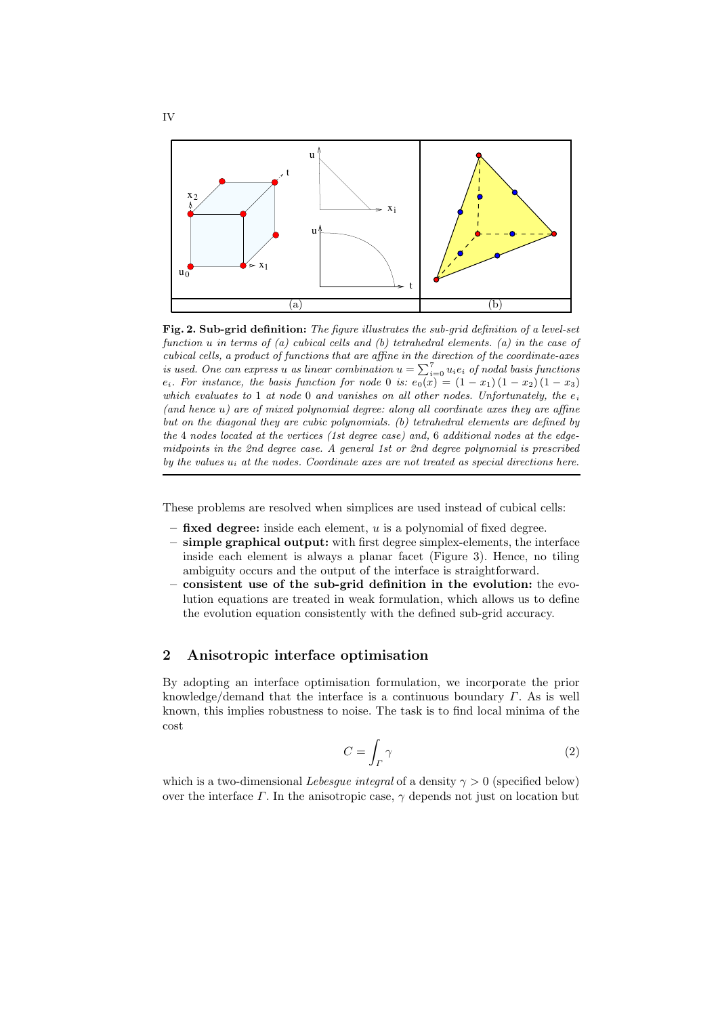

Fig. 2. Sub-grid definition: The figure illustrates the sub-grid definition of a level-set function u in terms of (a) cubical cells and (b) tetrahedral elements. (a) in the case of cubical cells, a product of functions that are affine in the direction of the coordinate-axes is used. One can express u as linear combination  $u = \sum_{i=0}^{7} u_i e_i$  of nodal basis functions  $e_i$ . For instance, the basis function for node 0 is:  $e_0(x) = (1-x_1)(1-x_2)(1-x_3)$ which evaluates to 1 at node 0 and vanishes on all other nodes. Unfortunately, the  $e_i$ (and hence u) are of mixed polynomial degree: along all coordinate axes they are affine but on the diagonal they are cubic polynomials. (b) tetrahedral elements are defined by the 4 nodes located at the vertices (1st degree case) and, 6 additional nodes at the edgemidpoints in the 2nd degree case. A general 1st or 2nd degree polynomial is prescribed by the values  $u_i$  at the nodes. Coordinate axes are not treated as special directions here.

These problems are resolved when simplices are used instead of cubical cells:

- $-$  fixed degree: inside each element, u is a polynomial of fixed degree.
- simple graphical output: with first degree simplex-elements, the interface inside each element is always a planar facet (Figure 3). Hence, no tiling ambiguity occurs and the output of the interface is straightforward.
- consistent use of the sub-grid definition in the evolution: the evolution equations are treated in weak formulation, which allows us to define the evolution equation consistently with the defined sub-grid accuracy.

# 2 Anisotropic interface optimisation

By adopting an interface optimisation formulation, we incorporate the prior knowledge/demand that the interface is a continuous boundary  $\Gamma$ . As is well known, this implies robustness to noise. The task is to find local minima of the cost

$$
C = \int_{\Gamma} \gamma \tag{2}
$$

which is a two-dimensional Lebesque integral of a density  $\gamma > 0$  (specified below) over the interface  $\Gamma$ . In the anisotropic case,  $\gamma$  depends not just on location but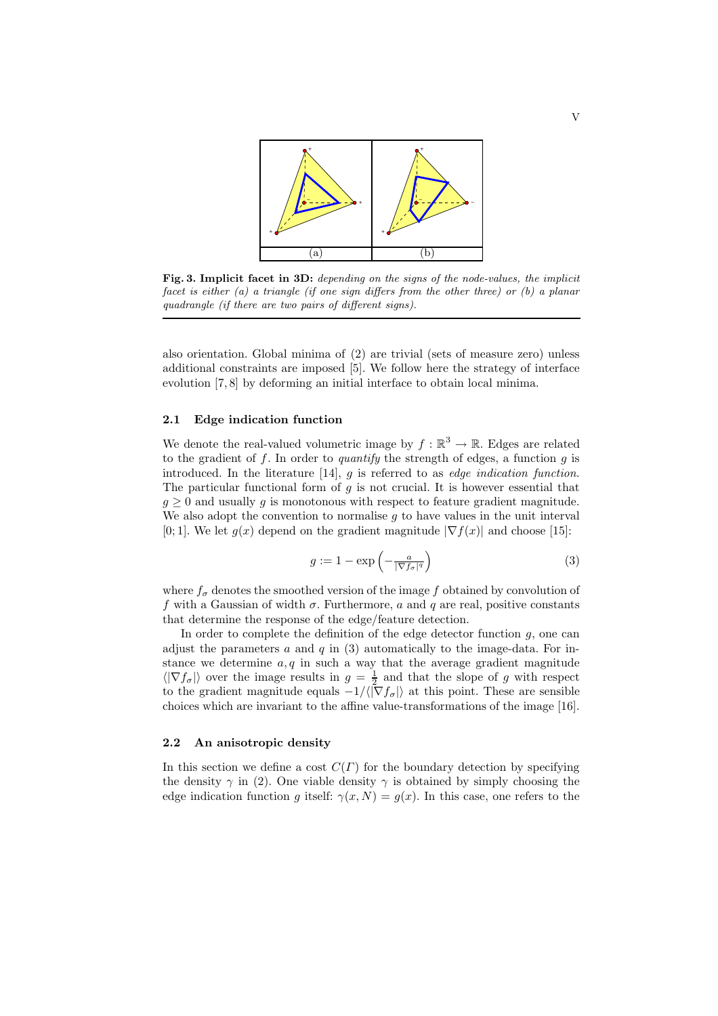

Fig. 3. Implicit facet in 3D: depending on the signs of the node-values, the implicit facet is either  $(a)$  a triangle (if one sign differs from the other three) or  $(b)$  a planar quadrangle (if there are two pairs of different signs).

also orientation. Global minima of (2) are trivial (sets of measure zero) unless additional constraints are imposed [5]. We follow here the strategy of interface evolution [7, 8] by deforming an initial interface to obtain local minima.

#### 2.1 Edge indication function

We denote the real-valued volumetric image by  $f : \mathbb{R}^3 \to \mathbb{R}$ . Edges are related to the gradient of f. In order to *quantify* the strength of edges, a function  $g$  is introduced. In the literature  $[14]$ , g is referred to as *edge indication function*. The particular functional form of  $q$  is not crucial. It is however essential that  $g \geq 0$  and usually g is monotonous with respect to feature gradient magnitude. We also adopt the convention to normalise  $g$  to have values in the unit interval [0; 1]. We let  $g(x)$  depend on the gradient magnitude  $|\nabla f(x)|$  and choose [15]:

$$
g := 1 - \exp\left(-\frac{a}{|\nabla f_{\sigma}|^q}\right) \tag{3}
$$

where  $f_{\sigma}$  denotes the smoothed version of the image f obtained by convolution of f with a Gaussian of width  $\sigma$ . Furthermore, a and q are real, positive constants that determine the response of the edge/feature detection.

In order to complete the definition of the edge detector function  $g$ , one can adjust the parameters  $a$  and  $q$  in (3) automatically to the image-data. For instance we determine  $a, q$  in such a way that the average gradient magnitude  $\langle |\nabla f_{\sigma}| \rangle$  over the image results in  $g = \frac{1}{2}$  and that the slope of g with respect to the gradient magnitude equals  $-1/\langle |\nabla f_{\sigma}|\rangle$  at this point. These are sensible choices which are invariant to the affine value-transformations of the image [16].

#### 2.2 An anisotropic density

In this section we define a cost  $C(\Gamma)$  for the boundary detection by specifying the density  $\gamma$  in (2). One viable density  $\gamma$  is obtained by simply choosing the edge indication function g itself:  $\gamma(x, N) = g(x)$ . In this case, one refers to the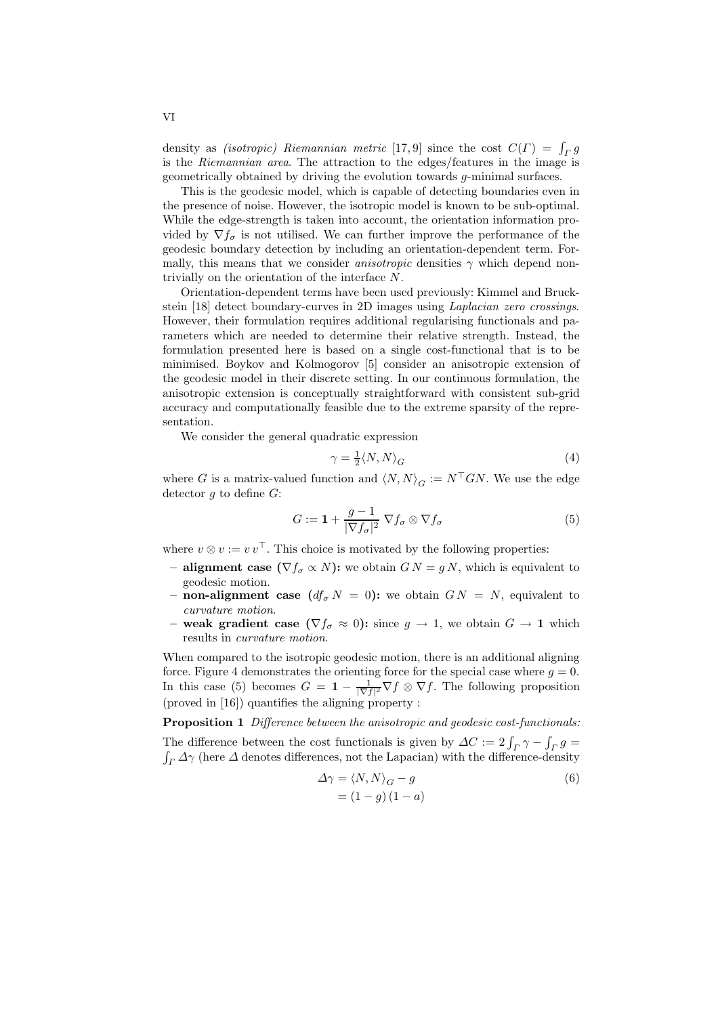density as *(isotropic)* Riemannian metric [17,9] since the cost  $C(\Gamma) = \int_{\Gamma} g$ is the Riemannian area. The attraction to the edges/features in the image is geometrically obtained by driving the evolution towards g-minimal surfaces.

This is the geodesic model, which is capable of detecting boundaries even in the presence of noise. However, the isotropic model is known to be sub-optimal. While the edge-strength is taken into account, the orientation information provided by  $\nabla f_{\sigma}$  is not utilised. We can further improve the performance of the geodesic boundary detection by including an orientation-dependent term. Formally, this means that we consider *anisotropic* densities  $\gamma$  which depend nontrivially on the orientation of the interface N.

Orientation-dependent terms have been used previously: Kimmel and Bruckstein [18] detect boundary-curves in 2D images using Laplacian zero crossings. However, their formulation requires additional regularising functionals and parameters which are needed to determine their relative strength. Instead, the formulation presented here is based on a single cost-functional that is to be minimised. Boykov and Kolmogorov [5] consider an anisotropic extension of the geodesic model in their discrete setting. In our continuous formulation, the anisotropic extension is conceptually straightforward with consistent sub-grid accuracy and computationally feasible due to the extreme sparsity of the representation.

We consider the general quadratic expression

$$
\gamma = \frac{1}{2} \langle N, N \rangle_G \tag{4}
$$

where G is a matrix-valued function and  $\langle N, N \rangle_G := N^\top G N$ . We use the edge detector  $g$  to define  $G$ :

$$
G := \mathbf{1} + \frac{g - 1}{|\nabla f_{\sigma}|^2} \nabla f_{\sigma} \otimes \nabla f_{\sigma}
$$
 (5)

where  $v \otimes v := v v^{\top}$ . This choice is motivated by the following properties:

- alignment case  $(\nabla f_{\sigma} \propto N)$ : we obtain  $GN = gN$ , which is equivalent to geodesic motion.
- non-alignment case  $(df_{\sigma} N = 0)$ : we obtain  $GN = N$ , equivalent to curvature motion.
- weak gradient case  $(\nabla f_{\sigma} \approx 0)$ : since  $g \to 1$ , we obtain  $G \to 1$  which results in curvature motion.

When compared to the isotropic geodesic motion, there is an additional aligning force. Figure 4 demonstrates the orienting force for the special case where  $g = 0$ . In this case (5) becomes  $G = \mathbf{1} - \frac{1}{|\nabla f|^2} \nabla f \otimes \nabla f$ . The following proposition (proved in [16]) quantifies the aligning property :

Proposition 1 Difference between the anisotropic and geodesic cost-functionals:

The difference between the cost functionals is given by  $\Delta C := 2 \int_T \gamma - \int_T g = \int_{\gamma} \Delta \gamma$  (here  $\Delta$  denotes differences, not the Lapacian) with the difference-density  $\int_{\Gamma} \Delta \gamma$  (here  $\Delta$  denotes differences, not the Lapacian) with the difference-density

$$
\Delta \gamma = \langle N, N \rangle_G - g
$$
  
=  $(1 - g)(1 - a)$  (6)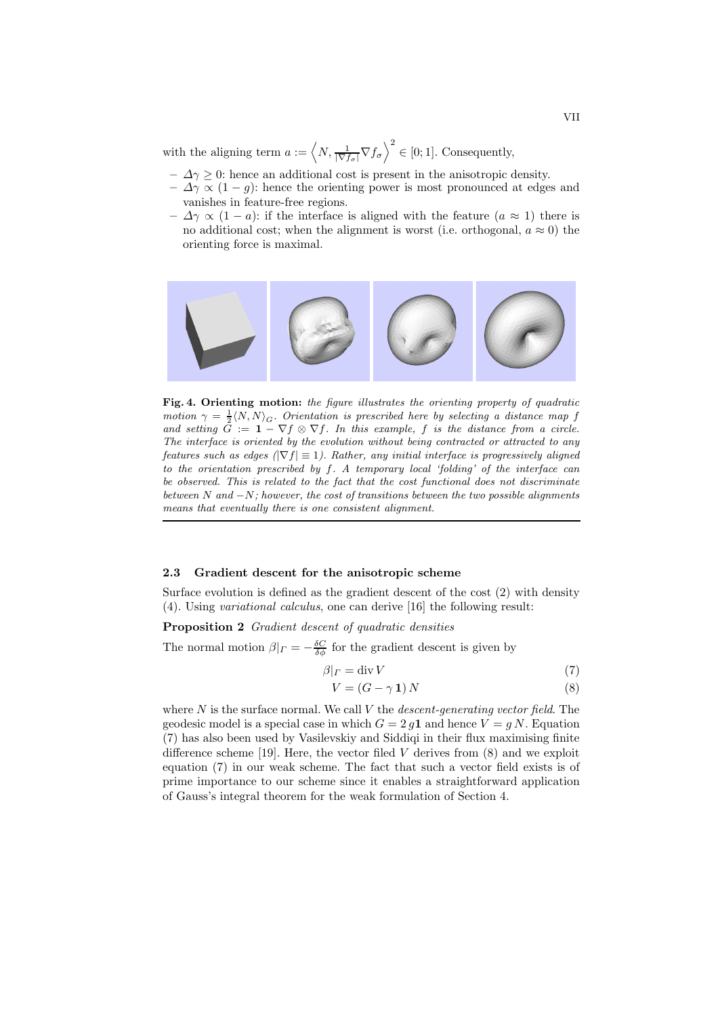with the aligning term  $a := \left\langle N, \frac{1}{|\nabla f_\sigma|} \nabla f_\sigma \right\rangle^2 \in [0, 1]$ . Consequently,

- $-\Delta\gamma \geq 0$ : hence an additional cost is present in the anisotropic density.
- $-\Delta\gamma \propto (1-g)$ : hence the orienting power is most pronounced at edges and vanishes in feature-free regions.
- $-\Delta\gamma \propto (1-a)$ : if the interface is aligned with the feature  $(a \approx 1)$  there is no additional cost; when the alignment is worst (i.e. orthogonal,  $a \approx 0$ ) the orienting force is maximal.



Fig. 4. Orienting motion: the figure illustrates the orienting property of quadratic motion  $\gamma = \frac{1}{2} \langle N, N \rangle_G$ . Orientation is prescribed here by selecting a distance map f and setting  $\tilde{G} := \mathbf{1} - \nabla f \otimes \nabla f$ . In this example, f is the distance from a circle. The interface is oriented by the evolution without being contracted or attracted to any features such as edges ( $|\nabla f| \equiv 1$ ). Rather, any initial interface is progressively aligned to the orientation prescribed by f. A temporary local 'folding' of the interface can be observed. This is related to the fact that the cost functional does not discriminate between  $N$  and  $-N$ ; however, the cost of transitions between the two possible alignments means that eventually there is one consistent alignment.

#### 2.3 Gradient descent for the anisotropic scheme

Surface evolution is defined as the gradient descent of the cost (2) with density (4). Using variational calculus, one can derive [16] the following result:

Proposition 2 Gradient descent of quadratic densities

The normal motion  $\beta|_{\Gamma} = -\frac{\delta C}{\delta \phi}$  for the gradient descent is given by

$$
\beta|_{\varGamma} = \operatorname{div} V \tag{7}
$$

$$
V = (G - \gamma \mathbf{1}) N \tag{8}
$$

where  $N$  is the surface normal. We call  $V$  the *descent-generating vector field*. The geodesic model is a special case in which  $G = 2 q \mathbf{1}$  and hence  $V = q N$ . Equation (7) has also been used by Vasilevskiy and Siddiqi in their flux maximising finite difference scheme [19]. Here, the vector filed  $V$  derives from  $(8)$  and we exploit equation (7) in our weak scheme. The fact that such a vector field exists is of prime importance to our scheme since it enables a straightforward application of Gauss's integral theorem for the weak formulation of Section 4.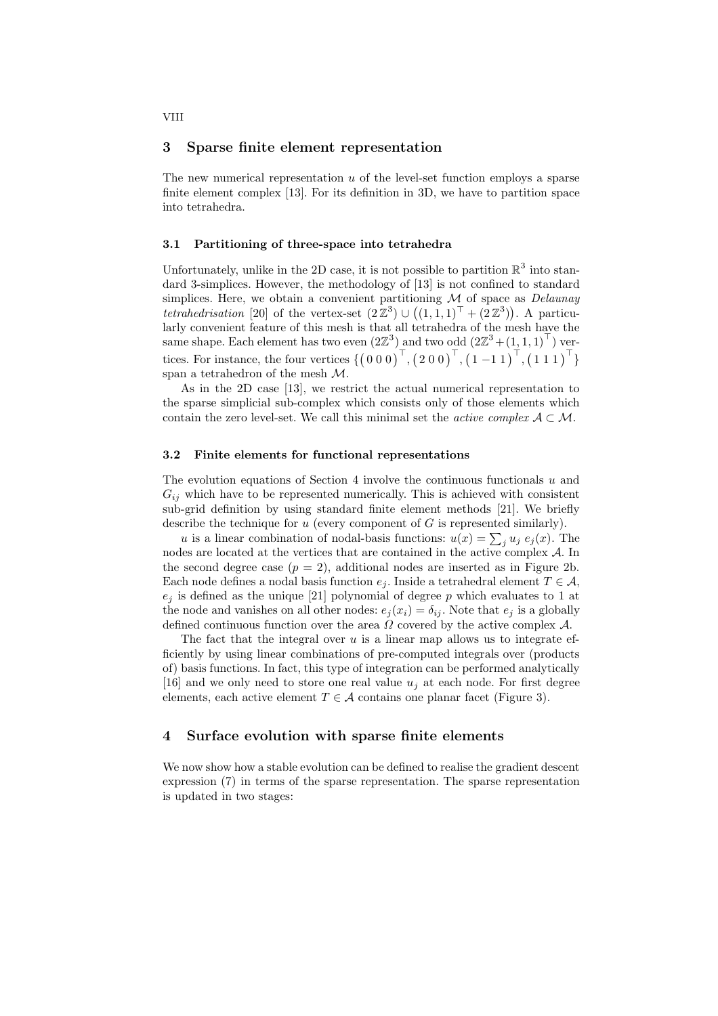#### 3 Sparse finite element representation

The new numerical representation  $u$  of the level-set function employs a sparse finite element complex [13]. For its definition in 3D, we have to partition space into tetrahedra.

#### 3.1 Partitioning of three-space into tetrahedra

Unfortunately, unlike in the 2D case, it is not possible to partition  $\mathbb{R}^3$  into standard 3-simplices. However, the methodology of [13] is not confined to standard simplices. Here, we obtain a convenient partitioning  $M$  of space as *Delaunay* tetrahedrisation [20] of the vertex-set  $(2\mathbb{Z}^3) \cup ((1,1,1)^{\top} + (2\mathbb{Z}^3))$ . A particularly convenient feature of this mesh is that all tetrahedra of the mesh have the same shape. Each element has two even  $(2\mathbb{Z}^3)$  and two odd  $(2\mathbb{Z}^3 + (1, 1, 1)^\top)$  vertices. For instance, the four vertices  $\{ (0\ 0\ 0)^{\top}, (2\ 0\ 0)^{\top}, (1\ -1\ 1)^{\top}, (1\ 1\ 1)^{\top} \}$ span a tetrahedron of the mesh M.

As in the 2D case [13], we restrict the actual numerical representation to the sparse simplicial sub-complex which consists only of those elements which contain the zero level-set. We call this minimal set the *active complex*  $A \subset \mathcal{M}$ .

#### 3.2 Finite elements for functional representations

The evolution equations of Section 4 involve the continuous functionals  $u$  and  $G_{ij}$  which have to be represented numerically. This is achieved with consistent sub-grid definition by using standard finite element methods [21]. We briefly describe the technique for  $u$  (every component of  $G$  is represented similarly).

u is a linear combination of nodal-basis functions:  $u(x) = \sum_j u_j e_j(x)$ . The nodes are located at the vertices that are contained in the active complex A. In the second degree case  $(p = 2)$ , additional nodes are inserted as in Figure 2b. Each node defines a nodal basis function  $e_i$ . Inside a tetrahedral element  $T \in \mathcal{A}$ ,  $e_j$  is defined as the unique [21] polynomial of degree p which evaluates to 1 at the node and vanishes on all other nodes:  $e_j(x_i) = \delta_{ij}$ . Note that  $e_j$  is a globally defined continuous function over the area  $\Omega$  covered by the active complex  $\mathcal{A}$ .

The fact that the integral over  $u$  is a linear map allows us to integrate efficiently by using linear combinations of pre-computed integrals over (products of) basis functions. In fact, this type of integration can be performed analytically [16] and we only need to store one real value  $u_i$  at each node. For first degree elements, each active element  $T \in \mathcal{A}$  contains one planar facet (Figure 3).

### 4 Surface evolution with sparse finite elements

We now show how a stable evolution can be defined to realise the gradient descent expression (7) in terms of the sparse representation. The sparse representation is updated in two stages: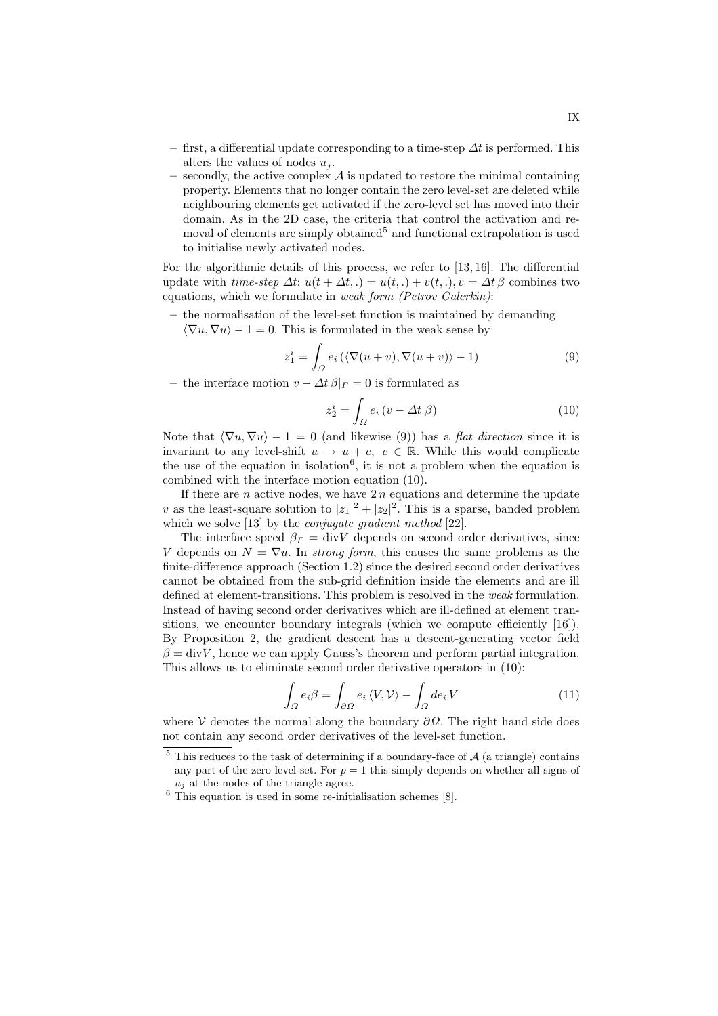- first, a differential update corresponding to a time-step  $\Delta t$  is performed. This alters the values of nodes  $u_i$ .
- secondly, the active complex  $A$  is updated to restore the minimal containing property. Elements that no longer contain the zero level-set are deleted while neighbouring elements get activated if the zero-level set has moved into their domain. As in the 2D case, the criteria that control the activation and removal of elements are simply obtained<sup>5</sup> and functional extrapolation is used to initialise newly activated nodes.

For the algorithmic details of this process, we refer to [13, 16]. The differential update with time-step  $\Delta t$ :  $u(t + \Delta t,.) = u(t,.) + v(t,.), v = \Delta t \beta$  combines two equations, which we formulate in weak form (Petrov Galerkin):

– the normalisation of the level-set function is maintained by demanding

 $\langle \nabla u, \nabla u \rangle - 1 = 0$ . This is formulated in the weak sense by

$$
z_1^i = \int_{\Omega} e_i \left( \langle \nabla(u+v), \nabla(u+v) \rangle - 1 \right) \tag{9}
$$

– the interface motion  $v - \Delta t \beta |_{\Gamma} = 0$  is formulated as

$$
z_2^i = \int_{\Omega} e_i \left( v - \Delta t \beta \right) \tag{10}
$$

Note that  $\langle \nabla u, \nabla u \rangle - 1 = 0$  (and likewise (9)) has a *flat direction* since it is invariant to any level-shift  $u \to u + c$ ,  $c \in \mathbb{R}$ . While this would complicate the use of the equation in isolation<sup>6</sup>, it is not a problem when the equation is combined with the interface motion equation (10).

If there are  $n$  active nodes, we have  $2n$  equations and determine the update v as the least-square solution to  $|z_1|^2 + |z_2|^2$ . This is a sparse, banded problem which we solve [13] by the *conjugate gradient method* [22].

The interface speed  $\beta_{\Gamma} = \text{div}V$  depends on second order derivatives, since V depends on  $N = \nabla u$ . In *strong form*, this causes the same problems as the finite-difference approach (Section 1.2) since the desired second order derivatives cannot be obtained from the sub-grid definition inside the elements and are ill defined at element-transitions. This problem is resolved in the weak formulation. Instead of having second order derivatives which are ill-defined at element transitions, we encounter boundary integrals (which we compute efficiently [16]). By Proposition 2, the gradient descent has a descent-generating vector field  $\beta = \text{div}V$ , hence we can apply Gauss's theorem and perform partial integration. This allows us to eliminate second order derivative operators in (10):

$$
\int_{\Omega} e_i \beta = \int_{\partial \Omega} e_i \langle V, V \rangle - \int_{\Omega} d e_i V \tag{11}
$$

where V denotes the normal along the boundary  $\partial\Omega$ . The right hand side does not contain any second order derivatives of the level-set function.

 $5$  This reduces to the task of determining if a boundary-face of  $A$  (a triangle) contains any part of the zero level-set. For  $p = 1$  this simply depends on whether all signs of  $u_j$  at the nodes of the triangle agree.

 $6$  This equation is used in some re-initialisation schemes [8].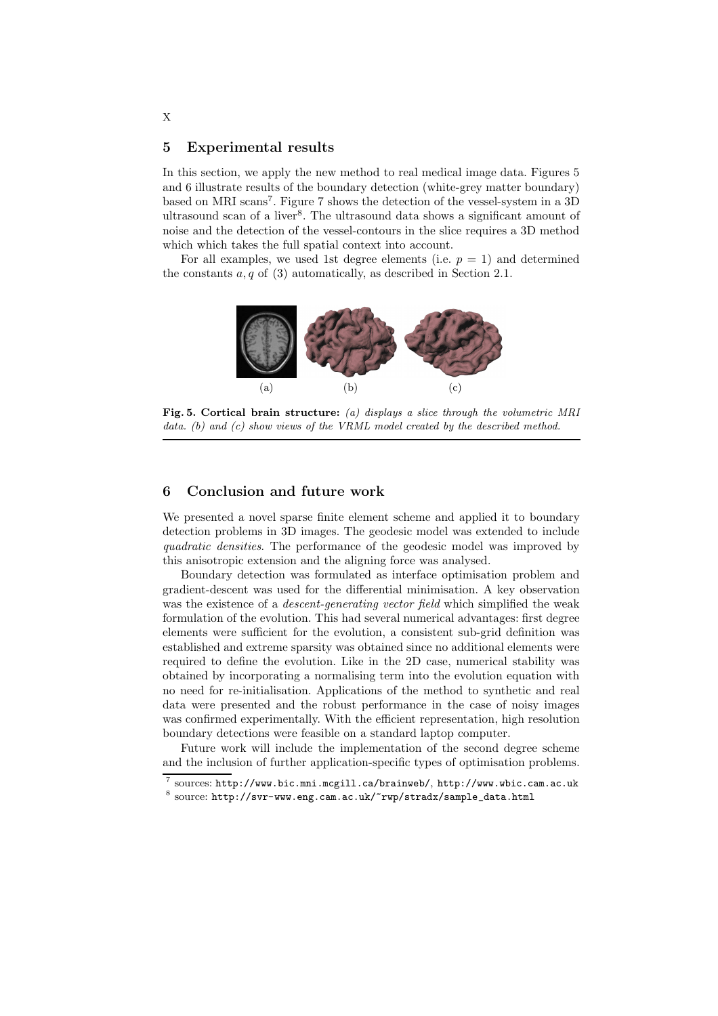## 5 Experimental results

In this section, we apply the new method to real medical image data. Figures 5 and 6 illustrate results of the boundary detection (white-grey matter boundary) based on MRI scans<sup>7</sup>. Figure 7 shows the detection of the vessel-system in a 3D ultrasound scan of a liver<sup>8</sup>. The ultrasound data shows a significant amount of noise and the detection of the vessel-contours in the slice requires a 3D method which which takes the full spatial context into account.

For all examples, we used 1st degree elements (i.e.  $p = 1$ ) and determined the constants  $a, q$  of (3) automatically, as described in Section 2.1.



Fig. 5. Cortical brain structure: (a) displays a slice through the volumetric MRI data. (b) and (c) show views of the VRML model created by the described method.

# 6 Conclusion and future work

We presented a novel sparse finite element scheme and applied it to boundary detection problems in 3D images. The geodesic model was extended to include quadratic densities. The performance of the geodesic model was improved by this anisotropic extension and the aligning force was analysed.

Boundary detection was formulated as interface optimisation problem and gradient-descent was used for the differential minimisation. A key observation was the existence of a *descent-generating vector field* which simplified the weak formulation of the evolution. This had several numerical advantages: first degree elements were sufficient for the evolution, a consistent sub-grid definition was established and extreme sparsity was obtained since no additional elements were required to define the evolution. Like in the 2D case, numerical stability was obtained by incorporating a normalising term into the evolution equation with no need for re-initialisation. Applications of the method to synthetic and real data were presented and the robust performance in the case of noisy images was confirmed experimentally. With the efficient representation, high resolution boundary detections were feasible on a standard laptop computer.

Future work will include the implementation of the second degree scheme and the inclusion of further application-specific types of optimisation problems.

X

<sup>7</sup> sources: http://www.bic.mni.mcgill.ca/brainweb/, http://www.wbic.cam.ac.uk

 $^8$  source: http://svr-www.eng.cam.ac.uk/~rwp/stradx/sample\_data.html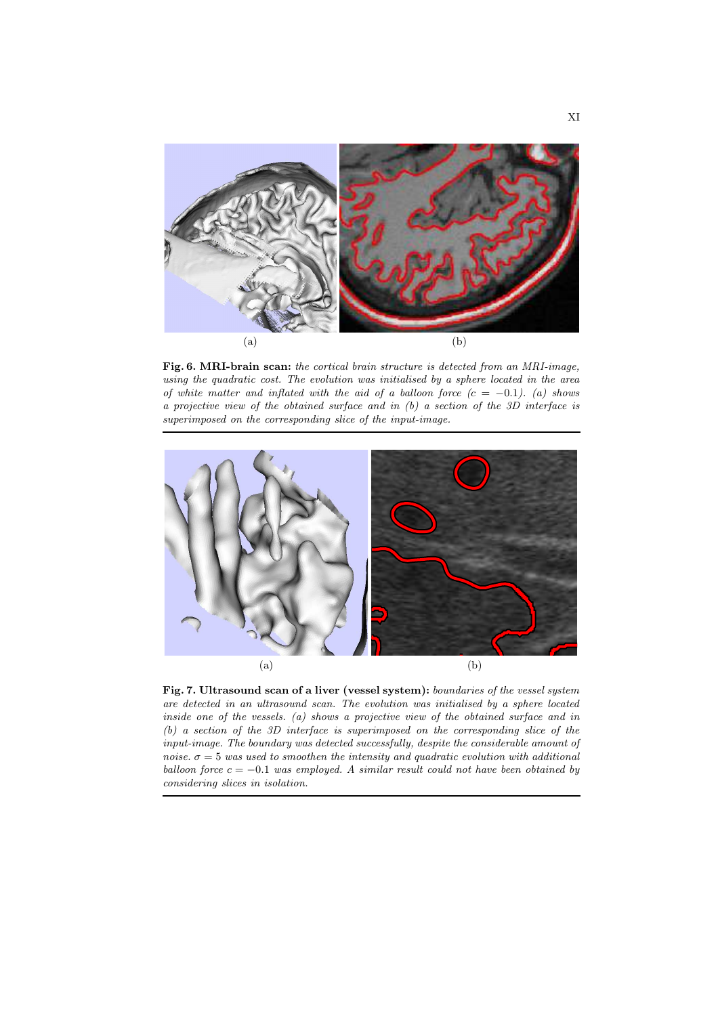

Fig. 6. MRI-brain scan: the cortical brain structure is detected from an MRI-image, using the quadratic cost. The evolution was initialised by a sphere located in the area of white matter and inflated with the aid of a balloon force  $(c = -0.1)$ . (a) shows a projective view of the obtained surface and in (b) a section of the 3D interface is superimposed on the corresponding slice of the input-image.



Fig. 7. Ultrasound scan of a liver (vessel system): boundaries of the vessel system are detected in an ultrasound scan. The evolution was initialised by a sphere located inside one of the vessels. (a) shows a projective view of the obtained surface and in (b) a section of the 3D interface is superimposed on the corresponding slice of the input-image. The boundary was detected successfully, despite the considerable amount of noise.  $\sigma = 5$  was used to smoothen the intensity and quadratic evolution with additional balloon force  $c = -0.1$  was employed. A similar result could not have been obtained by considering slices in isolation.